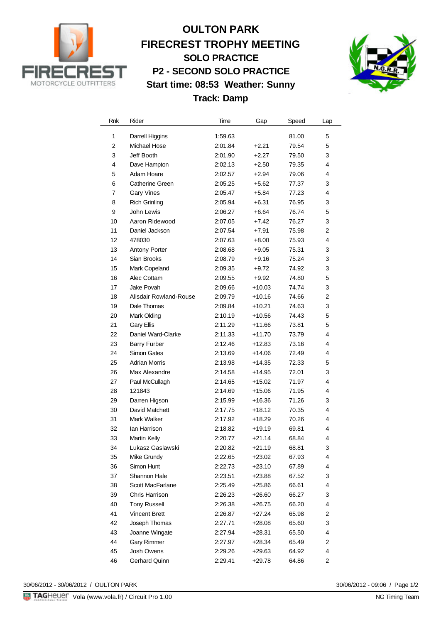

## **OULTON PARK FIRECREST TROPHY MEETING SOLO PRACTICE P2 - SECOND SOLO PRACTICE Start time: 08:53 Weather: Sunny Track: Damp**



| Rnk            | Rider                  | Time    | Gap      | Speed | Lap            |
|----------------|------------------------|---------|----------|-------|----------------|
| 1              | Darrell Higgins        | 1:59.63 |          | 81.00 | 5              |
| $\overline{2}$ | Michael Hose           | 2:01.84 | $+2.21$  | 79.54 | 5              |
| 3              | Jeff Booth             | 2:01.90 | $+2.27$  | 79.50 | 3              |
| 4              | Dave Hampton           | 2:02.13 | $+2.50$  | 79.35 | 4              |
| 5              | Adam Hoare             | 2:02.57 | $+2.94$  | 79.06 | 4              |
| 6              | <b>Catherine Green</b> | 2:05.25 | $+5.62$  | 77.37 | 3              |
| 7              | <b>Gary Vines</b>      | 2:05.47 | $+5.84$  | 77.23 | 4              |
| 8              | <b>Rich Grinling</b>   | 2:05.94 | $+6.31$  | 76.95 | 3              |
| 9              | John Lewis             | 2:06.27 | $+6.64$  | 76.74 | 5              |
| 10             | Aaron Ridewood         | 2:07.05 | $+7.42$  | 76.27 | 3              |
| 11             | Daniel Jackson         | 2:07.54 | $+7.91$  | 75.98 | 2              |
| 12             | 478030                 | 2:07.63 | $+8.00$  | 75.93 | $\overline{4}$ |
| 13             | <b>Antony Porter</b>   | 2:08.68 | $+9.05$  | 75.31 | 3              |
| 14             | Sian Brooks            | 2:08.79 | $+9.16$  | 75.24 | 3              |
| 15             | Mark Copeland          | 2:09.35 | $+9.72$  | 74.92 | 3              |
| 16             | Alec Cottam            | 2:09.55 | $+9.92$  | 74.80 | 5              |
| 17             | Jake Povah             | 2:09.66 | $+10.03$ | 74.74 | 3              |
| 18             | Alisdair Rowland-Rouse | 2:09.79 | $+10.16$ | 74.66 | 2              |
| 19             | Dale Thomas            | 2:09.84 | $+10.21$ | 74.63 | 3              |
| 20             | Mark Olding            | 2:10.19 | +10.56   | 74.43 | 5              |
| 21             | <b>Gary Ellis</b>      | 2:11.29 | $+11.66$ | 73.81 | 5              |
| 22             | Daniel Ward-Clarke     | 2:11.33 | $+11.70$ | 73.79 | 4              |
| 23             | <b>Barry Furber</b>    | 2:12.46 | $+12.83$ | 73.16 | 4              |
| 24             | Simon Gates            | 2:13.69 | $+14.06$ | 72.49 | 4              |
| 25             | <b>Adrian Morris</b>   | 2:13.98 | $+14.35$ | 72.33 | 5              |
| 26             | Max Alexandre          | 2:14.58 | $+14.95$ | 72.01 | 3              |
| 27             | Paul McCullagh         | 2:14.65 | $+15.02$ | 71.97 | 4              |
| 28             | 121843                 | 2:14.69 | $+15.06$ | 71.95 | 4              |
| 29             | Darren Higson          | 2:15.99 | $+16.36$ | 71.26 | 3              |
| 30             | David Matchett         | 2:17.75 | $+18.12$ | 70.35 | 4              |
| 31             | Mark Walker            | 2:17.92 | $+18.29$ | 70.26 | 4              |
| 32             | lan Harrison           | 2:18.82 | $+19.19$ | 69.81 | 4              |
| 33             | <b>Martin Kelly</b>    | 2:20.77 | $+21.14$ | 68.84 | 4              |
| 34             | Lukasz Gaslawski       | 2:20.82 | $+21.19$ | 68.81 | 3              |
| 35             | Mike Grundy            | 2:22.65 | +23.02   | 67.93 | 4              |
| 36             | Simon Hunt             | 2:22.73 | $+23.10$ | 67.89 | 4              |
| 37             | Shannon Hale           | 2:23.51 | $+23.88$ | 67.52 | 3              |
| 38             | Scott MacFarlane       | 2:25.49 | $+25.86$ | 66.61 | 4              |
| 39             | Chris Harrison         | 2:26.23 | $+26.60$ | 66.27 | 3              |
| 40             | <b>Tony Russell</b>    | 2:26.38 | $+26.75$ | 66.20 | 4              |
| 41             | <b>Vincent Brett</b>   | 2:26.87 | $+27.24$ | 65.98 | 2              |
| 42             | Joseph Thomas          | 2:27.71 | $+28.08$ | 65.60 | 3              |
| 43             | Joanne Wingate         | 2:27.94 | $+28.31$ | 65.50 | 4              |
| 44             | <b>Gary Rimmer</b>     | 2:27.97 | $+28.34$ | 65.49 | $\overline{c}$ |
| 45             | Josh Owens             | 2:29.26 | $+29.63$ | 64.92 | 4              |
| 46             | Gerhard Quinn          | 2:29.41 | $+29.78$ | 64.86 | 2              |

30/06/2012 - 30/06/2012 / OULTON PARK

30/06/2012 - 09:06 / Page 1/2<br>NG Timing Team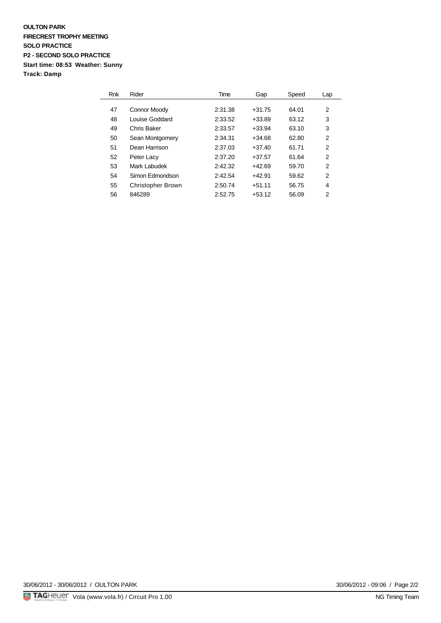### **OULTON PARK FIRECREST TROPHY MEETING SOLO PRACTICE P2 - SECOND SOLO PRACTICE Start time: 08:53 Weather: Sunny Track: Damp**

| Rnk | Rider                    | Time    | Gap      | Speed | Lap            |
|-----|--------------------------|---------|----------|-------|----------------|
|     |                          |         |          |       |                |
| 47  | Connor Moody             | 2:31.38 | $+31.75$ | 64.01 | 2              |
| 48  | Louise Goddard           | 2:33.52 | $+33.89$ | 63.12 | 3              |
| 49  | Chris Baker              | 2:33.57 | $+33.94$ | 63.10 | 3              |
| 50  | Sean Montgomery          | 2:34.31 | $+34.68$ | 62.80 | 2              |
| 51  | Dean Harrison            | 2:37.03 | $+37.40$ | 61.71 | 2              |
| 52  | Peter Lacy               | 2:37.20 | $+37.57$ | 61.64 | 2              |
| 53  | Mark Labudek             | 2:42.32 | $+42.69$ | 59.70 | 2              |
| 54  | Simon Edmondson          | 2:42.54 | $+42.91$ | 59.62 | $\overline{2}$ |
| 55  | <b>Christopher Brown</b> | 2:50.74 | $+51.11$ | 56.75 | 4              |
| 56  | 846289                   | 2:52.75 | $+53.12$ | 56.09 | 2              |

30/06/2012 - 09:06 / Page 2/2<br>NG Timing Team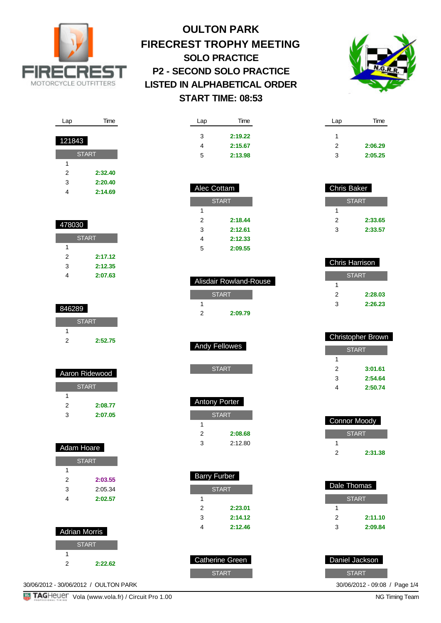



| Lap           | Time         |
|---------------|--------------|
|               |              |
| <u>121843</u> |              |
|               | <b>START</b> |
| 1             |              |
| 2             | 2:32.40      |
| 3             | 2:20.40      |
| 4             | 2:14.69      |

| 478030 |              |
|--------|--------------|
|        | <b>START</b> |
| 1      |              |
| 2      | 2:17.12      |

I

| 3 | 2:12.35 |
|---|---------|
| 4 | 2:07.63 |

| 846289 |              |
|--------|--------------|
|        | <b>START</b> |
|        |              |
| 2      | 2:52.75      |
|        |              |

| Aaron Ridewood |              |
|----------------|--------------|
|                | <b>START</b> |
|                |              |
| 2              | 2:08.77      |
| 3              | 2:07.05      |

| Adam Hoare   |         |  |
|--------------|---------|--|
| <b>START</b> |         |  |
| 1            |         |  |
| 2            | 2:03.55 |  |
| 3            | 2:05.34 |  |
| 4            | 2:02.57 |  |

| <b>Adrian Morris</b> |              |
|----------------------|--------------|
|                      | <b>START</b> |
|                      |              |
| 2                    | 2:22.62      |

30/06/2012 - 30/06/2012 / OULTON PARK

| Lap | Time    |
|-----|---------|
| 3   | 2:19.22 |
| 4   | 2:15.67 |
| 5   | 2:13.98 |
|     |         |

| Alec Cottam |              |  |
|-------------|--------------|--|
|             | <b>START</b> |  |
| 1           |              |  |
| 2           | 2:18.44      |  |
| 3           | 2:12.61      |  |
| 4           | 2:12.33      |  |
| 5           | 2:09.55      |  |

| Alisdair Rowland-Rouse |              |  |
|------------------------|--------------|--|
|                        | <b>START</b> |  |
|                        |              |  |
| 2                      | 2:09.79      |  |
|                        |              |  |

| <b>Andy Fellowes</b> |
|----------------------|
|----------------------|

| <b>Antony Porter</b> |         |  |
|----------------------|---------|--|
| <b>START</b>         |         |  |
|                      |         |  |
| 2                    | 2:08.68 |  |
| ว                    | 2:12.80 |  |

| Barry Furber |         |  |
|--------------|---------|--|
| <b>START</b> |         |  |
|              |         |  |
| 2            | 2:23.01 |  |
| 3            | 2:14.12 |  |
|              | 2:12.46 |  |

| 'Catherine Green |
|------------------|
| <b>START</b>     |

| <b>Chris Baker</b> |         |
|--------------------|---------|
| <b>START</b>       |         |
| 1                  |         |
| 2                  | 2:33.65 |
| ٩                  | 2:33.57 |

Lap Time

2 **2:06.29** 3 **2:05.25**

1

| Chris Harrison |         |  |
|----------------|---------|--|
| <b>START</b>   |         |  |
|                |         |  |
| 2              | 2:28.03 |  |
| 3              | 2:26.23 |  |
|                |         |  |

| Christopher Brown |         |  |
|-------------------|---------|--|
| <b>START</b>      |         |  |
| 1                 |         |  |
| 2                 | 3:01.61 |  |
| 3                 | 2:54.64 |  |
| 4                 | 2:50.74 |  |
|                   |         |  |

| <b>Connor Moody</b> |         |  |
|---------------------|---------|--|
| <b>START</b>        |         |  |
|                     |         |  |
|                     | 2:31.38 |  |

| Dale Thomas  |         |  |
|--------------|---------|--|
| <b>START</b> |         |  |
| 1            |         |  |
| 2            | 2:11.10 |  |
| 3            | 2:09.84 |  |

| Daniel Jackson             |  |
|----------------------------|--|
| <b>START</b>               |  |
| $30/06/2012 - 09.08$ / Pac |  |

**TAGHEUET** Vola (www.vola.fr) / Circuit Pro 1.00

9:08 / Page 1/4<br>NG Timing Team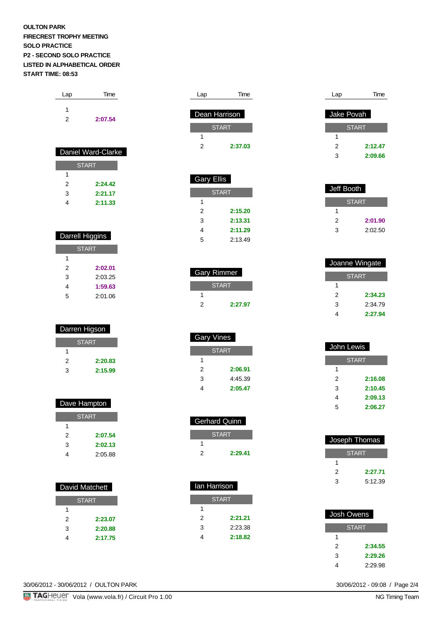| Lap | Time    |
|-----|---------|
|     |         |
| 2   | 2:07.54 |

| Daniel Ward-Clarke |         |
|--------------------|---------|
| <b>START</b>       |         |
| 1                  |         |
| 2                  | 2-24.42 |
| 3                  | 2:21.17 |
|                    | 2:11.33 |

| <b>Darrell Higgins</b> |         |
|------------------------|---------|
| <b>START</b>           |         |
| 1                      |         |
| 2                      | 2:02.01 |
| 3                      | 2:03.25 |
| 4                      | 1:59.63 |
| 5                      | 2:01.06 |

| Darren Higson |         |
|---------------|---------|
| <b>START</b>  |         |
|               |         |
| 2             | 2:20.83 |
| 3             | 2:15.99 |

| Dave Hampton |  |
|--------------|--|
| <b>START</b> |  |
|              |  |
| 2:07.54      |  |
| 2:02.13      |  |
| 2:05.88      |  |
|              |  |

| David Matchett |         |
|----------------|---------|
| <b>START</b>   |         |
| 1              |         |
| 2              | 2:23.07 |
| 3              | 2:20.88 |
|                | 2:17.75 |

| Lap | Time          |
|-----|---------------|
|     |               |
|     | Dean Harrison |
|     | <b>START</b>  |
|     |               |
| 2   | 2:37.03       |
|     |               |

| Gary Ellis |              |
|------------|--------------|
|            | <b>START</b> |
| 1          |              |
| 2          | 2:15.20      |
| 3          | 2:13.31      |
|            | 2:11.29      |

5 2:13.49

2 **2:27.97**

**START** 

2 **2:06.91** 3 4:45.39 4 **2:05.47**

 Gerhard Quinn **START** 

Ian Harrison

2 **2:29.41**

**START** 

2 **2:21.21** 3 2:23.38 4 **2:18.82**

 Gary Rimmer START

Gary Vines

1

1

1

1

| Lap        | Time         |
|------------|--------------|
|            |              |
| Jake Povah |              |
|            | <b>START</b> |
|            |              |
| 2          | 2:12.47      |
| 3          | 2:09.66      |

| Jeff Booth |              |
|------------|--------------|
|            | <b>START</b> |
|            |              |
| 2          | 2:01.90      |
| з          | 2:02.50      |

| Joanne Wingate |  |
|----------------|--|
| <b>START</b>   |  |
|                |  |
| 2:34.23        |  |
| 2:34.79        |  |
| 2:27.94        |  |
|                |  |

| John Lewis   |  |
|--------------|--|
| <b>START</b> |  |
|              |  |
| 2:16.08      |  |
| 2:10.45      |  |
| 2:09.13      |  |
| 2:06.27      |  |
|              |  |

| Joseph Thomas |         |
|---------------|---------|
| <b>START</b>  |         |
|               |         |
| 2             | 2:27.71 |
| 3             | 5:12.39 |

| Josh Owens |              |
|------------|--------------|
|            | <b>START</b> |
| 1          |              |
| 2          | 2:34.55      |
| 3          | 2:29.26      |
|            | 2:29.98      |

30/06/2012 - 09:08 / Page 2/4<br>NG Timing Team

30/06/2012 - 30/06/2012 / OULTON PARK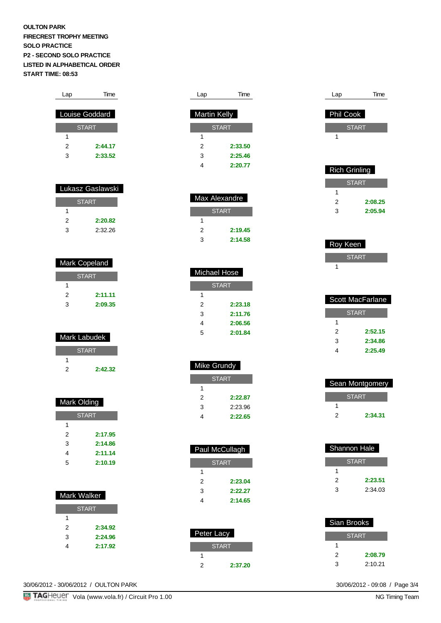| Lap                   | Time    |  |
|-----------------------|---------|--|
|                       |         |  |
| <b>Louise Goddard</b> |         |  |
| <b>START</b>          |         |  |
| 1                     |         |  |
| 2                     | 2:44.17 |  |
| 3                     | 2:33.52 |  |
|                       |         |  |

| <u>Lukasz Gaslawski</u> |  |  |
|-------------------------|--|--|
| <b>START</b>            |  |  |
|                         |  |  |
| 2:20.82                 |  |  |
| 2:32.26                 |  |  |
|                         |  |  |

| <b>Mark Copeland</b> |  |  |
|----------------------|--|--|
| <b>START</b>         |  |  |
|                      |  |  |
| 2:11.11              |  |  |
| 2:09.35              |  |  |
|                      |  |  |

| Mark Labudek |         |
|--------------|---------|
| <b>START</b> |         |
|              |         |
| 2            | 2:42.32 |
|              |         |

| Mark Olding  |         |
|--------------|---------|
| <b>START</b> |         |
| 1            |         |
| 2            | 2:17.95 |
| 3            | 2:14.86 |
| 4            | 2:11.14 |
| 5            | 2:10.19 |

| Mark Walker  |         |  |
|--------------|---------|--|
| <b>START</b> |         |  |
| 1            |         |  |
| 2            | 2:34.92 |  |
| 3            | 2:24.96 |  |
| 4            | 2:17.92 |  |
|              |         |  |

| Lap          | Time    |
|--------------|---------|
|              |         |
| Martin Kelly |         |
| <b>START</b> |         |
|              |         |
| 2            | 2:33.50 |
| 3            | 2:25.46 |

I

4 **2:20.77**

| Max Alexandre |         |  |
|---------------|---------|--|
| <b>START</b>  |         |  |
|               |         |  |
| 2             | 2:19.45 |  |
| વ             | 2:14.58 |  |

| Michael Hose |         |  |
|--------------|---------|--|
| <b>START</b> |         |  |
| 1            |         |  |
| 2            | 2:23.18 |  |
| 3            | 2:11.76 |  |
| 4            | 2:06.56 |  |
| 5            | 2:01.84 |  |

| Mike Grundy  |         |
|--------------|---------|
| <b>START</b> |         |
|              |         |
| 2            | 2:22.87 |
| ٩            | 2:23.96 |

4 **2:22.65**

| Paul McCullagh |         |  |
|----------------|---------|--|
| <b>START</b>   |         |  |
| 1              |         |  |
| 2              | 2:23.04 |  |
| 3              | 2:22.27 |  |
|                | 2:14.65 |  |

| Peter Lacy   |         |
|--------------|---------|
| <b>START</b> |         |
|              |         |
|              | 2:37.20 |

| Lap                  | Time         |
|----------------------|--------------|
|                      |              |
| <b>Phil Cook</b>     |              |
|                      | <b>START</b> |
| 1                    |              |
|                      |              |
|                      |              |
| <b>Rich Grinling</b> |              |
|                      | <b>START</b> |
| 1                    |              |
| 2                    | 2:08.25      |
| 3                    | 2:05.94      |

| Roy Keen |              |  |
|----------|--------------|--|
|          | <b>START</b> |  |
|          |              |  |

| Scott MacFarlane |         |
|------------------|---------|
| <b>START</b>     |         |
| 1                |         |
| 2                | 2:52.15 |
| 3                | 2:34.86 |
|                  | 2:25.49 |

| <b>Sean Montgomery</b> |         |
|------------------------|---------|
|                        | START   |
|                        |         |
| 2                      | 2:34.31 |

| Shannon Hale |  |
|--------------|--|
| <b>START</b> |  |
|              |  |
| 2:23.51      |  |
| 2:34.03      |  |
|              |  |

I

| Sian Brooks  |         |
|--------------|---------|
| <b>START</b> |         |
|              |         |
| 2            | 2:08.79 |
| ર            | 2:10.21 |

30/06/2012 - 09:08 / Page 3/4<br>NG Timing Team

30/06/2012 - 30/06/2012 / OULTON PARK